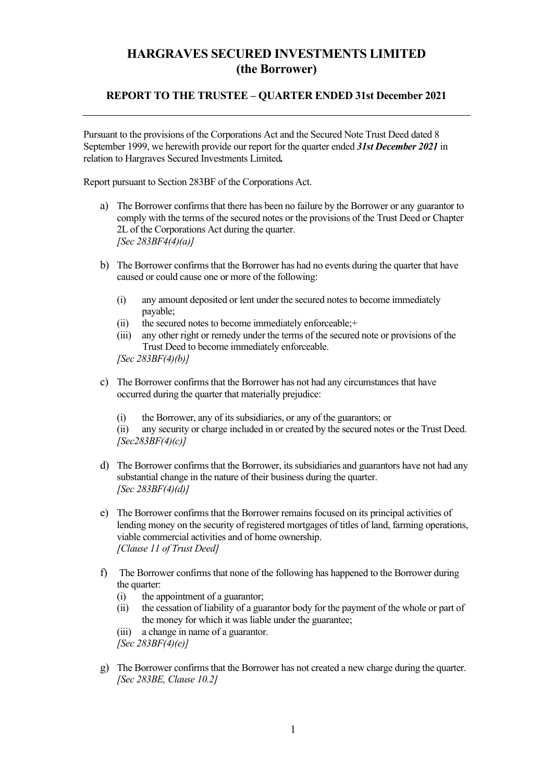## HARGRAVES SECURED INVESTMENTS LIMITED (the Borrower)

#### REPORT TO THE TRUSTEE – QUARTER ENDED 31st December 2021

Pursuant to the provisions of the Corporations Act and the Secured Note Trust Deed dated 8 September 1999, we herewith provide our report for the quarter ended 31st December 2021 in relation to Hargraves Secured Investments Limited.

Report pursuant to Section 283BF of the Corporations Act.

- a) The Borrower confirms that there has been no failure by the Borrower or any guarantor to comply with the terms of the secured notes or the provisions of the Trust Deed or Chapter 2L of the Corporations Act during the quarter.  $[Sec 283BF4(4)(a)]$
- b) The Borrower confirms that the Borrower has had no events during the quarter that have caused or could cause one or more of the following:
	- (i) any amount deposited or lent under the secured notes to become immediately payable;
	- (ii) the secured notes to become immediately enforceable;+
	- (iii) any other right or remedy under the terms of the secured note or provisions of the Trust Deed to become immediately enforceable.

[Sec  $283BF(4)(b)$ ]

- c) The Borrower confirms that the Borrower has not had any circumstances that have occurred during the quarter that materially prejudice:
	- (i) the Borrower, any of its subsidiaries, or any of the guarantors; or

(ii) any security or charge included in or created by the secured notes or the Trust Deed.  $[Sec283BF(4)(c)]$ 

- d) The Borrower confirms that the Borrower, its subsidiaries and guarantors have not had any substantial change in the nature of their business during the quarter. [Sec  $283BF(4)(d)$ ]
- e) The Borrower confirms that the Borrower remains focused on its principal activities of lending money on the security of registered mortgages of titles of land, farming operations, viable commercial activities and of home ownership. [Clause 11 of Trust Deed]
- f) The Borrower confirms that none of the following has happened to the Borrower during the quarter:
	- (i) the appointment of a guarantor;
	- (ii) the cessation of liability of a guarantor body for the payment of the whole or part of the money for which it was liable under the guarantee;
	- (iii) a change in name of a guarantor. [Sec 283BF(4)(e)]
- g) The Borrower confirms that the Borrower has not created a new charge during the quarter. [Sec 283BE, Clause 10.2]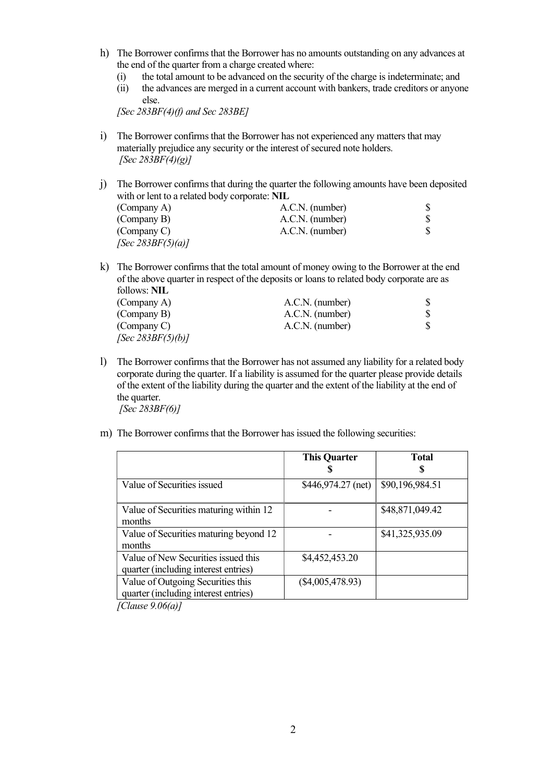- h) The Borrower confirms that the Borrower has no amounts outstanding on any advances at the end of the quarter from a charge created where:
	- (i) the total amount to be advanced on the security of the charge is indeterminate; and
	- (ii) the advances are merged in a current account with bankers, trade creditors or anyone else.

[Sec  $283BF(4)$ (f) and Sec  $283BE$ ]

i) The Borrower confirms that the Borrower has not experienced any matters that may materially prejudice any security or the interest of secured note holders. [Sec  $283BF(4)(g)$ ]

j) The Borrower confirms that during the quarter the following amounts have been deposited with or lent to a related body corporate: NIL (Company A)  $A.C.N.$  (number)  $$ A.C.N.$  (number)  $$ A.C.N.$  (number)  $$$ (Company B) <br>
A.C.N. (number) \$<br>
A.C.N. (number) \$ (Company C) A.C.N. (number)  $[Sec 283BF(5)(a)]$ 

k) The Borrower confirms that the total amount of money owing to the Borrower at the end of the above quarter in respect of the deposits or loans to related body corporate are as follows: NIL

| 10110110111111       |                 |  |
|----------------------|-----------------|--|
| (Company A)          | A.C.N. (number) |  |
| (Company B)          | A.C.N. (number) |  |
| (Company C)          | A.C.N. (number) |  |
| [Sec $283BF(5)(b)$ ] |                 |  |

l) The Borrower confirms that the Borrower has not assumed any liability for a related body corporate during the quarter. If a liability is assumed for the quarter please provide details of the extent of the liability during the quarter and the extent of the liability at the end of the quarter.

 $[Sec 283BF(6)]$ 

m) The Borrower confirms that the Borrower has issued the following securities:

|                                        | <b>This Quarter</b> | <b>Total</b>    |
|----------------------------------------|---------------------|-----------------|
|                                        |                     |                 |
| Value of Securities issued             | $$446,974.27$ (net) | \$90,196,984.51 |
| Value of Securities maturing within 12 |                     | \$48,871,049.42 |
| months                                 |                     |                 |
| Value of Securities maturing beyond 12 |                     | \$41,325,935.09 |
| months                                 |                     |                 |
| Value of New Securities issued this    | \$4,452,453.20      |                 |
| quarter (including interest entries)   |                     |                 |
| Value of Outgoing Securities this      | $(\$4,005,478.93)$  |                 |
| quarter (including interest entries)   |                     |                 |

 $[Clause 9.06(a)]$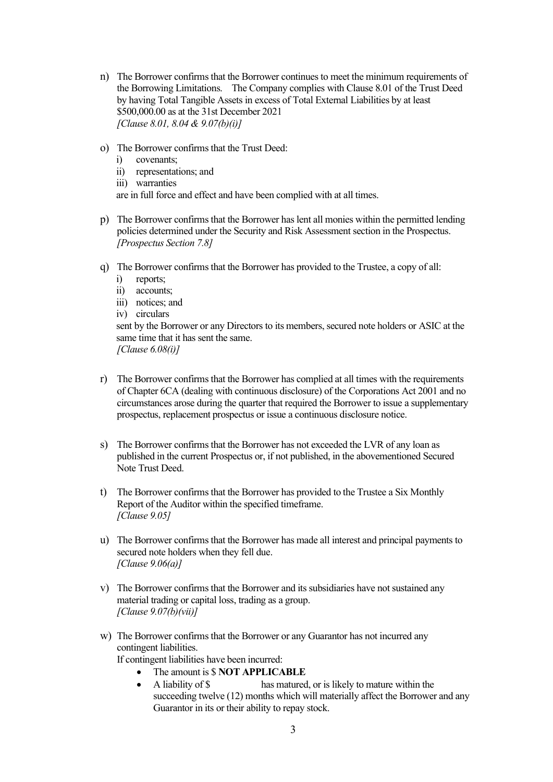- n) The Borrower confirms that the Borrower continues to meet the minimum requirements of the Borrowing Limitations. The Company complies with Clause 8.01 of the Trust Deed by having Total Tangible Assets in excess of Total External Liabilities by at least \$500,000.00 as at the 31st December 2021 [Clause 8.01, 8.04 & 9.07(b)(i)]
- o) The Borrower confirms that the Trust Deed:
	- i) covenants;
	- ii) representations; and
	- iii) warranties

are in full force and effect and have been complied with at all times.

- p) The Borrower confirms that the Borrower has lent all monies within the permitted lending policies determined under the Security and Risk Assessment section in the Prospectus. [Prospectus Section 7.8]
- q) The Borrower confirms that the Borrower has provided to the Trustee, a copy of all:
	- i) reports;
	- ii) accounts;
	- iii) notices; and
	- iv) circulars

sent by the Borrower or any Directors to its members, secured note holders or ASIC at the same time that it has sent the same.  $[Clause 6.08(i)]$ 

- r) The Borrower confirms that the Borrower has complied at all times with the requirements of Chapter 6CA (dealing with continuous disclosure) of the Corporations Act 2001 and no circumstances arose during the quarter that required the Borrower to issue a supplementary prospectus, replacement prospectus or issue a continuous disclosure notice.
- s) The Borrower confirms that the Borrower has not exceeded the LVR of any loan as published in the current Prospectus or, if not published, in the abovementioned Secured Note Trust Deed.
- t) The Borrower confirms that the Borrower has provided to the Trustee a Six Monthly Report of the Auditor within the specified timeframe. [Clause 9.05]
- u) The Borrower confirms that the Borrower has made all interest and principal payments to secured note holders when they fell due.  $[Clause 9.06(a)]$
- v) The Borrower confirms that the Borrower and its subsidiaries have not sustained any material trading or capital loss, trading as a group. [Clause  $9.07(b)(vii)$ ]
- w) The Borrower confirms that the Borrower or any Guarantor has not incurred any contingent liabilities.

If contingent liabilities have been incurred:

- The amount is \$ NOT APPLICABLE
- A liability of \$ has matured, or is likely to mature within the succeeding twelve (12) months which will materially affect the Borrower and any Guarantor in its or their ability to repay stock.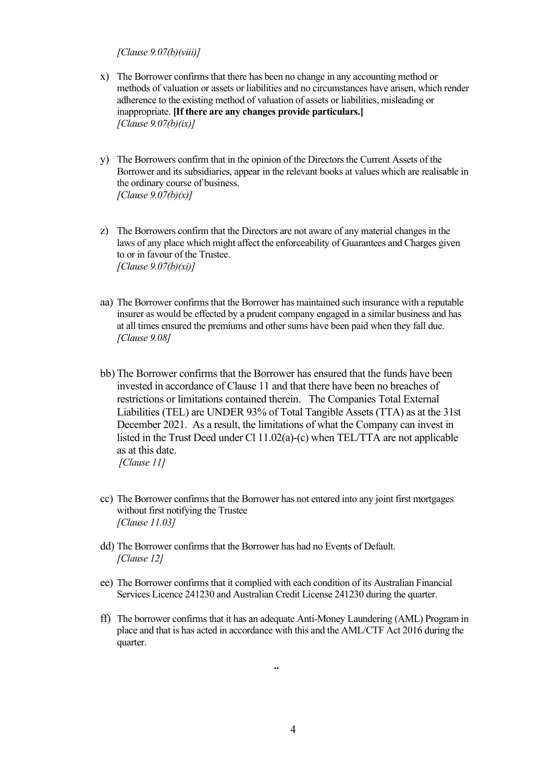#### [Clause 9.07(b)(viii)]

- x) The Borrower confirms that there has been no change in any accounting method or methods of valuation or assets or liabilities and no circumstances have arisen, which render adherence to the existing method of valuation of assets or liabilities, misleading or inappropriate. [If there are any changes provide particulars.]  $[Clause 9.07(b)(ix)]$
- y) The Borrowers confirm that in the opinion of the Directors the Current Assets of the Borrower and its subsidiaries, appear in the relevant books at values which are realisable in the ordinary course of business. [Clause  $9.07(b)(x)$ ]
- z) The Borrowers confirm that the Directors are not aware of any material changes in the laws of any place which might affect the enforceability of Guarantees and Charges given to or in favour of the Trustee.  $[Clause 9.07(b)(xi)]$
- aa) The Borrower confirms that the Borrower has maintained such insurance with a reputable insurer as would be effected by a prudent company engaged in a similar business and has at all times ensured the premiums and other sums have been paid when they fall due. [Clause 9.08]
- bb) The Borrower confirms that the Borrower has ensured that the funds have been invested in accordance of Clause 11 and that there have been no breaches of restrictions or limitations contained therein. The Companies Total External Liabilities (TEL) are UNDER 93% of Total Tangible Assets (TTA) as at the 31st December 2021. As a result, the limitations of what the Company can invest in listed in the Trust Deed under Cl 11.02(a)-(c) when TEL/TTA are not applicable as at this date.
	- [Clause 11]
- cc) The Borrower confirms that the Borrower has not entered into any joint first mortgages without first notifying the Trustee [Clause 11.03]
- dd) The Borrower confirms that the Borrower has had no Events of Default. [Clause 12]
- ee) The Borrower confirms that it complied with each condition of its Australian Financial Services Licence 241230 and Australian Credit License 241230 during the quarter.

..

ff) The borrower confirms that it has an adequate Anti-Money Laundering (AML) Program in place and that is has acted in accordance with this and the AML/CTF Act 2016 during the quarter.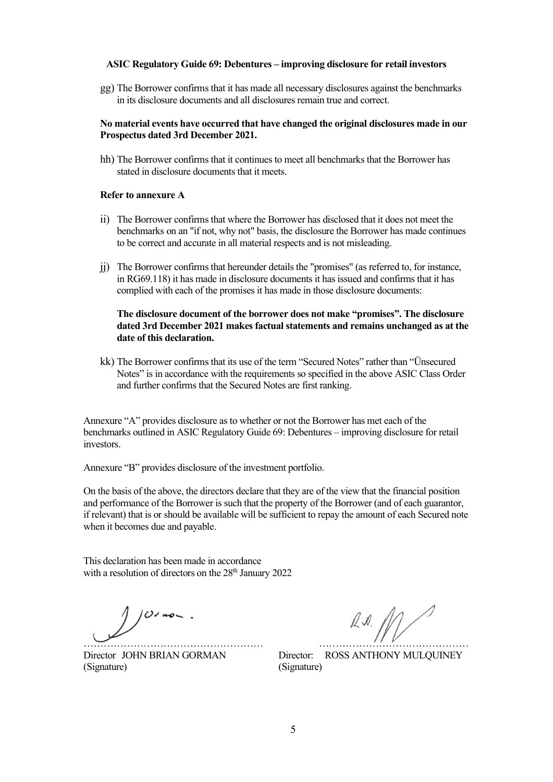#### ASIC Regulatory Guide 69: Debentures – improving disclosure for retail investors

gg) The Borrower confirms that it has made all necessary disclosures against the benchmarks in its disclosure documents and all disclosures remain true and correct.

#### No material events have occurred that have changed the original disclosures made in our Prospectus dated 3rd December 2021.

hh) The Borrower confirms that it continues to meet all benchmarks that the Borrower has stated in disclosure documents that it meets.

#### Refer to annexure A

- ii) The Borrower confirms that where the Borrower has disclosed that it does not meet the benchmarks on an "if not, why not" basis, the disclosure the Borrower has made continues to be correct and accurate in all material respects and is not misleading.
- jj) The Borrower confirms that hereunder details the "promises" (as referred to, for instance, in RG69.118) it has made in disclosure documents it has issued and confirms that it has complied with each of the promises it has made in those disclosure documents:

#### The disclosure document of the borrower does not make "promises". The disclosure dated 3rd December 2021 makes factual statements and remains unchanged as at the date of this declaration.

kk) The Borrower confirms that its use of the term "Secured Notes" rather than "Ünsecured Notes" is in accordance with the requirements so specified in the above ASIC Class Order and further confirms that the Secured Notes are first ranking.

Annexure "A" provides disclosure as to whether or not the Borrower has met each of the benchmarks outlined in ASIC Regulatory Guide 69: Debentures – improving disclosure for retail investors.

Annexure "B" provides disclosure of the investment portfolio.

On the basis of the above, the directors declare that they are of the view that the financial position and performance of the Borrower is such that the property of the Borrower (and of each guarantor, if relevant) that is or should be available will be sufficient to repay the amount of each Secured note when it becomes due and payable.

This declaration has been made in accordance with a resolution of directors on the  $28<sup>th</sup>$  January 2022

 $101 - 1$ 

(Signature) (Signature)

……………………………………………… ………………………………………

Director JOHN BRIAN GORMAN Director: ROSS ANTHONY MULQUINEY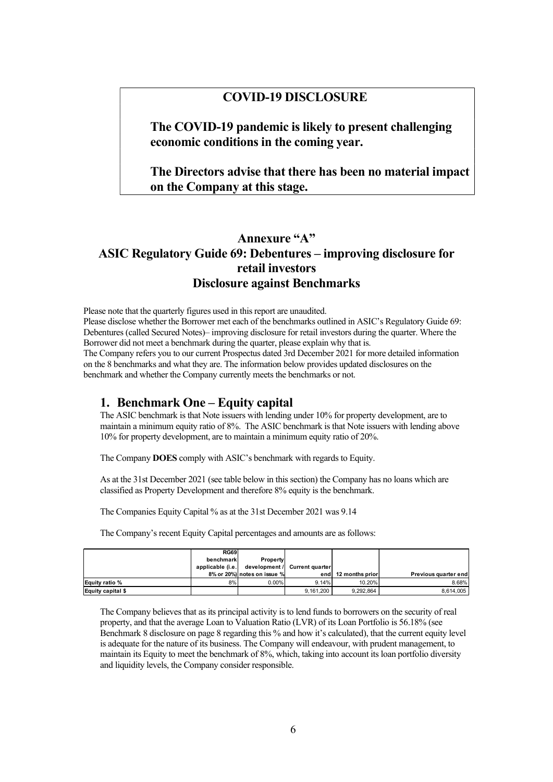## COVID-19 DISCLOSURE

The COVID-19 pandemic is likely to present challenging economic conditions in the coming year.

## The Directors advise that there has been no material impact on the Company at this stage.

# Annexure "A" ASIC Regulatory Guide 69: Debentures – improving disclosure for retail investors Disclosure against Benchmarks

Please note that the quarterly figures used in this report are unaudited. Please disclose whether the Borrower met each of the benchmarks outlined in ASIC's Regulatory Guide 69: Debentures (called Secured Notes)– improving disclosure for retail investors during the quarter. Where the Borrower did not meet a benchmark during the quarter, please explain why that is. The Company refers you to our current Prospectus dated 3rd December 2021 for more detailed information on the 8 benchmarks and what they are. The information below provides updated disclosures on the benchmark and whether the Company currently meets the benchmarks or not.

### 1. Benchmark One – Equity capital

| Debentures (called Secured Notes)— improving disclosure for retail investors during the quarter. Where the |                          |                             |                        |                     |                      |  |
|------------------------------------------------------------------------------------------------------------|--------------------------|-----------------------------|------------------------|---------------------|----------------------|--|
| Borrower did not meet a benchmark during the quarter, please explain why that is.                          |                          |                             |                        |                     |                      |  |
| The Company refers you to our current Prospectus dated 3rd December 2021 for more detailed information     |                          |                             |                        |                     |                      |  |
| on the 8 benchmarks and what they are. The information below provides updated disclosures on the           |                          |                             |                        |                     |                      |  |
| benchmark and whether the Company currently meets the benchmarks or not.                                   |                          |                             |                        |                     |                      |  |
|                                                                                                            |                          |                             |                        |                     |                      |  |
| 1. Benchmark One – Equity capital                                                                          |                          |                             |                        |                     |                      |  |
| The ASIC benchmark is that Note issuers with lending under 10% for property development, are to            |                          |                             |                        |                     |                      |  |
| maintain a minimum equity ratio of 8%. The ASIC benchmark is that Note issuers with lending above          |                          |                             |                        |                     |                      |  |
| 10% for property development, are to maintain a minimum equity ratio of 20%.                               |                          |                             |                        |                     |                      |  |
|                                                                                                            |                          |                             |                        |                     |                      |  |
| The Company DOES comply with ASIC's benchmark with regards to Equity.                                      |                          |                             |                        |                     |                      |  |
|                                                                                                            |                          |                             |                        |                     |                      |  |
| As at the 31st December 2021 (see table below in this section) the Company has no loans which are          |                          |                             |                        |                     |                      |  |
| classified as Property Development and therefore 8% equity is the benchmark.                               |                          |                             |                        |                     |                      |  |
|                                                                                                            |                          |                             |                        |                     |                      |  |
| The Companies Equity Capital % as at the 31st December 2021 was 9.14                                       |                          |                             |                        |                     |                      |  |
|                                                                                                            |                          |                             |                        |                     |                      |  |
| The Company's recent Equity Capital percentages and amounts are as follows:                                |                          |                             |                        |                     |                      |  |
|                                                                                                            |                          |                             |                        |                     |                      |  |
|                                                                                                            | <b>RG69</b><br>benchmark | <b>Property</b>             |                        |                     |                      |  |
|                                                                                                            | applicable (i.e.         | development /               | <b>Current quarter</b> |                     |                      |  |
|                                                                                                            |                          | 8% or 20%) notes on issue % |                        | end 12 months prior | Previous quarter end |  |
| Equity ratio %<br>Equity capital \$                                                                        | 8%                       | 0.00%                       | 9.14%<br>9,161,200     | 10.20%<br>9,292,864 | 8.68%<br>8,614,005   |  |
|                                                                                                            |                          |                             |                        |                     |                      |  |
|                                                                                                            |                          |                             |                        |                     |                      |  |
| The Company believes that as its principal activity is to lend funds to borrowers on the security of real  |                          |                             |                        |                     |                      |  |
| property, and that the average Loan to Valuation Ratio (LVR) of its Loan Portfolio is 56.18% (see          |                          |                             |                        |                     |                      |  |
| Benchmark 8 disclosure on page 8 regarding this % and how it's calculated), that the current equity level  |                          |                             |                        |                     |                      |  |

The Company believes that as its principal activity is to lend funds to borrowers on the security of real property, and that the average Loan to Valuation Ratio (LVR) of its Loan Portfolio is 56.18% (see Benchmark 8 disclosure on page 8 regarding this % and how it's calculated), that the current equity level is adequate for the nature of its business. The Company will endeavour, with prudent management, to maintain its Equity to meet the benchmark of 8%, which, taking into account its loan portfolio diversity and liquidity levels, the Company consider responsible.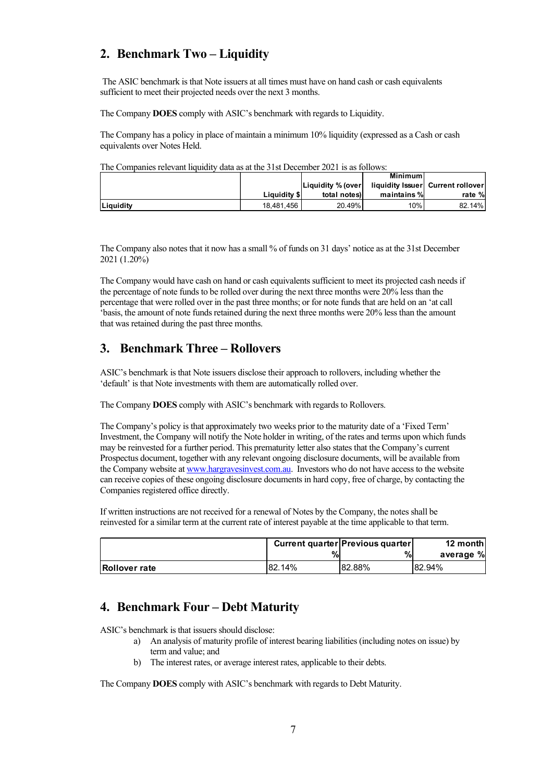# 2. Benchmark Two – Liquidity

| 2. Benchmark Two – Liquidity                                                                                                                                        |              |                   |                                    |                         |
|---------------------------------------------------------------------------------------------------------------------------------------------------------------------|--------------|-------------------|------------------------------------|-------------------------|
| The ASIC benchmark is that Note issuers at all times must have on hand cash or cash equivalents<br>sufficient to meet their projected needs over the next 3 months. |              |                   |                                    |                         |
| The Company DOES comply with ASIC's benchmark with regards to Liquidity.                                                                                            |              |                   |                                    |                         |
|                                                                                                                                                                     |              |                   |                                    |                         |
| The Company has a policy in place of maintain a minimum 10% liquidity (expressed as a Cash or cash<br>equivalents over Notes Held.                                  |              |                   |                                    |                         |
| The Companies relevant liquidity data as at the 31st December 2021 is as follows:                                                                                   |              |                   |                                    |                         |
|                                                                                                                                                                     |              | Liquidity % (over | <b>Minimum</b><br>liquidity Issuer | <b>Current rollover</b> |
|                                                                                                                                                                     |              | total notes)      | maintains %                        | rate %                  |
|                                                                                                                                                                     | Liquidity \$ |                   |                                    |                         |

The Company would have cash on hand or cash equivalents sufficient to meet its projected cash needs if the percentage of note funds to be rolled over during the next three months were 20% less than the percentage that were rolled over in the past three months; or for note funds that are held on an 'at call 'basis, the amount of note funds retained during the next three months were 20% less than the amount that was retained during the past three months.

## 3. Benchmark Three – Rollovers

ASIC's benchmark is that Note issuers disclose their approach to rollovers, including whether the 'default' is that Note investments with them are automatically rolled over.

The Company DOES comply with ASIC's benchmark with regards to Rollovers.

The Company's policy is that approximately two weeks prior to the maturity date of a 'Fixed Term' Investment, the Company will notify the Note holder in writing, of the rates and terms upon which funds may be reinvested for a further period. This prematurity letter also states that the Company's current Prospectus document, together with any relevant ongoing disclosure documents, will be available from the Company website at www.hargravesinvest.com.au. Investors who do not have access to the website can receive copies of these ongoing disclosure documents in hard copy, free of charge, by contacting the Companies registered office directly. Example of the state of the state of the state of the state of the state of the state of the state of the state of the state of the state of the state of the state of the state of the state of the state of the state of th

If written instructions are not received for a renewal of Notes by the Company, the notes shall be reinvested for a similar term at the current rate of interest payable at the time applicable to that term.

|               |        | Current quarter Previous quarter | 12 month     |
|---------------|--------|----------------------------------|--------------|
|               |        | ,,                               | %<br>average |
| Rollover rate | 82.14% | 82.88%                           | 82.94%       |

## 4. Benchmark Four – Debt Maturity

ASIC's benchmark is that issuers should disclose:

- a) An analysis of maturity profile of interest bearing liabilities (including notes on issue) by term and value; and
- b) The interest rates, or average interest rates, applicable to their debts.

The Company DOES comply with ASIC's benchmark with regards to Debt Maturity.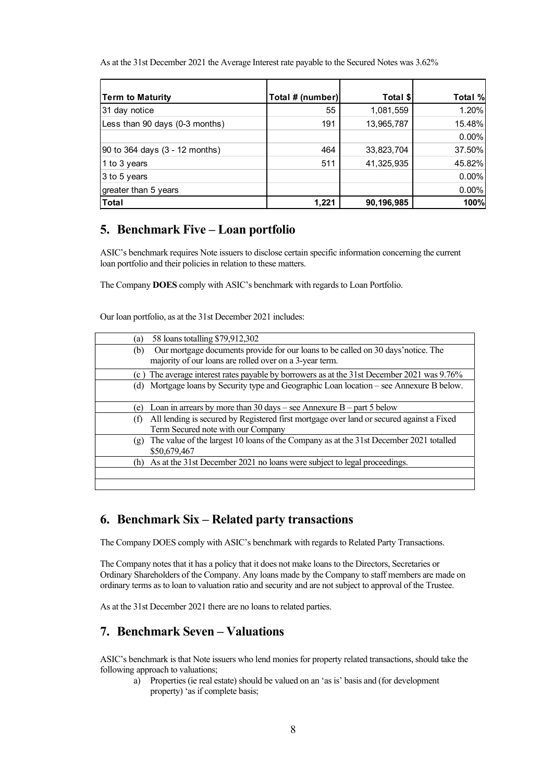| As at the 31st December 2021 the Average Interest rate payable to the Secured Notes was 3.62% |                        |                         |                  |
|-----------------------------------------------------------------------------------------------|------------------------|-------------------------|------------------|
|                                                                                               |                        |                         |                  |
|                                                                                               |                        |                         |                  |
|                                                                                               |                        |                         |                  |
|                                                                                               |                        |                         |                  |
| Term to Maturity                                                                              | Total # (number)<br>55 | Total \$                | Total %<br>1.20% |
| 31 day notice<br>Less than 90 days (0-3 months)                                               | 191                    | 1,081,559<br>13,965,787 | 15.48%           |
|                                                                                               |                        |                         | $0.00\%$         |
| 90 to 364 days (3 - 12 months)                                                                | 464                    | 33,823,704              | 37.50%           |
|                                                                                               | 511                    | 41,325,935              | 45.82%           |
| 1 to 3 years                                                                                  |                        |                         |                  |
| 3 to 5 years                                                                                  |                        |                         | $0.00\%$         |
| greater than 5 years                                                                          |                        |                         | $0.00\%$         |

### 5. Benchmark Five – Loan portfolio

ASIC's benchmark requires Note issuers to disclose certain specific information concerning the current loan portfolio and their policies in relation to these matters.

The Company DOES comply with ASIC's benchmark with regards to Loan Portfolio.

Our loan portfolio, as at the 31st December 2021 includes:

| (a) | 58 loans totalling \$79,912,302                                                                                                              |
|-----|----------------------------------------------------------------------------------------------------------------------------------------------|
| (b) | Our mortgage documents provide for our loans to be called on 30 days' notice. The<br>majority of our loans are rolled over on a 3-year term. |
| (c) | The average interest rates payable by borrowers as at the 31st December 2021 was 9.76%                                                       |
| (d) | Mortgage loans by Security type and Geographic Loan location – see Annexure B below.                                                         |
| (e) | Loan in arrears by more than $30 \text{ days}$ – see Annexure B – part 5 below                                                               |
| (f) | All lending is secured by Registered first mortgage over land or secured against a Fixed<br>Term Secured note with our Company               |
| (g) | The value of the largest 10 loans of the Company as at the 31st December 2021 totalled<br>\$50,679,467                                       |
| (h) | As at the 31st December 2021 no loans were subject to legal proceedings.                                                                     |
|     |                                                                                                                                              |

### 6. Benchmark Six – Related party transactions

The Company DOES comply with ASIC's benchmark with regards to Related Party Transactions.

The Company notes that it has a policy that it does not make loans to the Directors, Secretaries or Ordinary Shareholders of the Company. Any loans made by the Company to staff members are made on ordinary terms as to loan to valuation ratio and security and are not subject to approval of the Trustee.

As at the 31st December 2021 there are no loans to related parties.

## 7. Benchmark Seven – Valuations

ASIC's benchmark is that Note issuers who lend monies for property related transactions, should take the following approach to valuations;

a) Properties (ie real estate) should be valued on an 'as is' basis and (for development property) 'as if complete basis;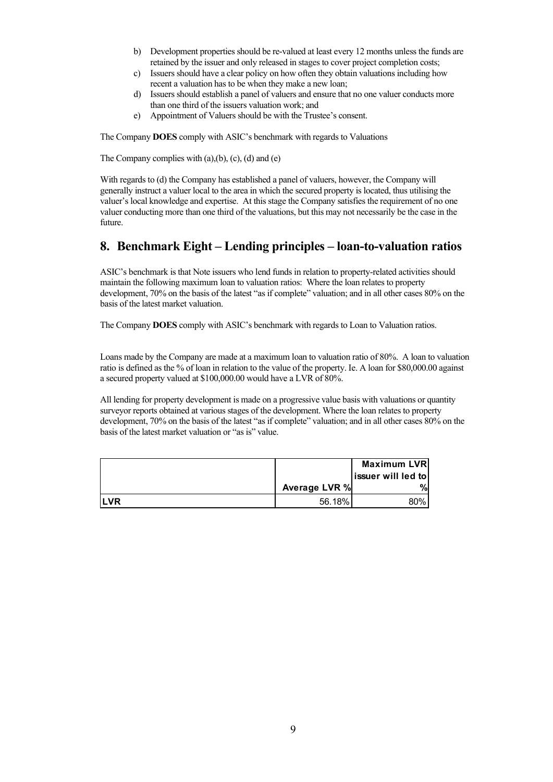- b) Development properties should be re-valued at least every 12 months unless the funds are retained by the issuer and only released in stages to cover project completion costs;
- c) Issuers should have a clear policy on how often they obtain valuations including how recent a valuation has to be when they make a new loan;
- d) Issuers should establish a panel of valuers and ensure that no one valuer conducts more than one third of the issuers valuation work; and
- e) Appointment of Valuers should be with the Trustee's consent.

The Company DOES comply with ASIC's benchmark with regards to Valuations

The Company complies with  $(a)$ , $(b)$ ,  $(c)$ ,  $(d)$  and  $(e)$ 

With regards to (d) the Company has established a panel of valuers, however, the Company will generally instruct a valuer local to the area in which the secured property is located, thus utilising the valuer's local knowledge and expertise. At this stage the Company satisfies the requirement of no one valuer conducting more than one third of the valuations, but this may not necessarily be the case in the future.

## 8. Benchmark Eight – Lending principles – loan-to-valuation ratios

| ASIC's benchmark is that Note issuers who lend funds in relation to property-related activities should<br>maintain the following maximum loan to valuation ratios: Where the loan relates to property<br>development, 70% on the basis of the latest "as if complete" valuation; and in all other cases 80% on the<br>basis of the latest market valuation.                                                                                                                                                                                                                                                                                                                       |               |                    |  |
|-----------------------------------------------------------------------------------------------------------------------------------------------------------------------------------------------------------------------------------------------------------------------------------------------------------------------------------------------------------------------------------------------------------------------------------------------------------------------------------------------------------------------------------------------------------------------------------------------------------------------------------------------------------------------------------|---------------|--------------------|--|
| The Company DOES comply with ASIC's benchmark with regards to Loan to Valuation ratios.                                                                                                                                                                                                                                                                                                                                                                                                                                                                                                                                                                                           |               |                    |  |
| Loans made by the Company are made at a maximum loan to valuation ratio of 80%. A loan to valuation<br>ratio is defined as the % of loan in relation to the value of the property. Ie. A loan for \$80,000.00 against<br>a secured property valued at \$100,000.00 would have a LVR of 80%.<br>All lending for property development is made on a progressive value basis with valuations or quantity<br>surveyor reports obtained at various stages of the development. Where the loan relates to property<br>development, 70% on the basis of the latest "as if complete" valuation; and in all other cases 80% on the<br>basis of the latest market valuation or "as is" value. |               |                    |  |
|                                                                                                                                                                                                                                                                                                                                                                                                                                                                                                                                                                                                                                                                                   |               | <b>Maximum LVR</b> |  |
|                                                                                                                                                                                                                                                                                                                                                                                                                                                                                                                                                                                                                                                                                   |               | issuer will led to |  |
|                                                                                                                                                                                                                                                                                                                                                                                                                                                                                                                                                                                                                                                                                   | Average LVR % | $\%$               |  |
| <b>LVR</b>                                                                                                                                                                                                                                                                                                                                                                                                                                                                                                                                                                                                                                                                        | 56.18%        | 80%                |  |
|                                                                                                                                                                                                                                                                                                                                                                                                                                                                                                                                                                                                                                                                                   |               |                    |  |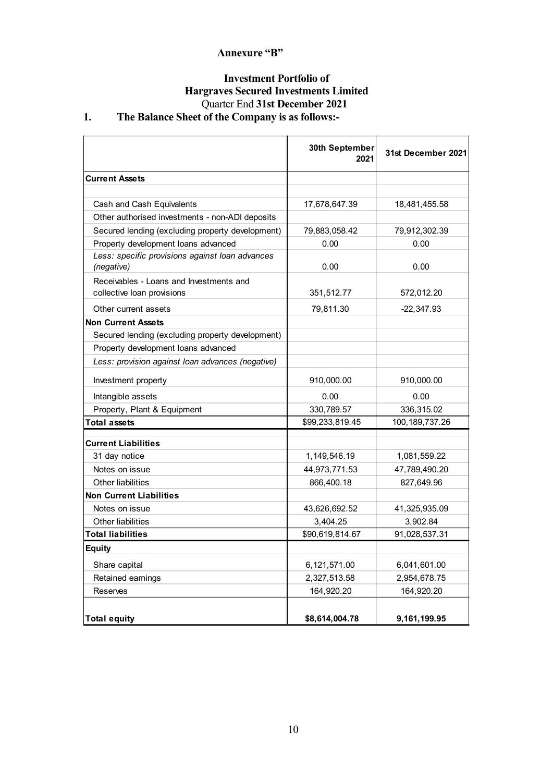## Annexure "B"

# Investment Portfolio of Hargraves Secured Investments Limited Quarter End 31st December 2021

# 1. The Balance Sheet of the Company is as follows:-

| Annexure "B"                                                                                                                                                               |                        |                    |
|----------------------------------------------------------------------------------------------------------------------------------------------------------------------------|------------------------|--------------------|
| <b>Investment Portfolio of</b><br><b>Hargraves Secured Investments Limited</b><br>Quarter End 31st December 2021<br>The Balance Sheet of the Company is as follows:-<br>1. |                        |                    |
|                                                                                                                                                                            | 30th September<br>2021 | 31st December 2021 |
| <b>Current Assets</b>                                                                                                                                                      |                        |                    |
| Cash and Cash Equivalents                                                                                                                                                  | 17,678,647.39          | 18,481,455.58      |
| Other authorised investments - non-ADI deposits                                                                                                                            |                        |                    |
| Secured lending (excluding property development)                                                                                                                           | 79,883,058.42          | 79,912,302.39      |
| Property development loans advanced                                                                                                                                        | 0.00                   | 0.00               |
| Less: specific provisions against loan advances                                                                                                                            |                        |                    |
| (negative)                                                                                                                                                                 | 0.00                   | 0.00               |
| Receivables - Loans and Investments and<br>collective loan provisions                                                                                                      | 351,512.77             | 572,012.20         |
| Other current assets                                                                                                                                                       | 79,811.30              | $-22,347.93$       |
| <b>Non Current Assets</b>                                                                                                                                                  |                        |                    |
| Secured lending (excluding property development)                                                                                                                           |                        |                    |
| Property development loans advanced                                                                                                                                        |                        |                    |
| Less: provision against loan advances (negative)                                                                                                                           |                        |                    |
| Investment property                                                                                                                                                        | 910,000.00             | 910,000.00         |
| Intangible assets                                                                                                                                                          | 0.00                   | 0.00               |
| Property, Plant & Equipment                                                                                                                                                | 330,789.57             | 336,315.02         |
| <b>Total assets</b>                                                                                                                                                        | \$99,233,819.45        | 100, 189, 737. 26  |
| <b>Current Liabilities</b>                                                                                                                                                 |                        |                    |
| 31 day notice                                                                                                                                                              | 1,149,546.19           | 1,081,559.22       |
| Notes on issue                                                                                                                                                             | 44,973,771.53          | 47,789,490.20      |
| Other liabilities                                                                                                                                                          | 866,400.18             | 827,649.96         |
| Non Current Liabilities                                                                                                                                                    |                        |                    |
| Notes on issue                                                                                                                                                             | 43,626,692.52          | 41,325,935.09      |
| Other liabilities                                                                                                                                                          | 3,404.25               | 3,902.84           |
| Total liabilities                                                                                                                                                          | \$90,619,814.67        | 91,028,537.31      |
| <b>Equity</b>                                                                                                                                                              |                        |                    |
| Share capital                                                                                                                                                              | 6,121,571.00           | 6,041,601.00       |
| Retained earnings                                                                                                                                                          | 2,327,513.58           | 2,954,678.75       |
| Reserves                                                                                                                                                                   | 164,920.20             | 164,920.20         |
|                                                                                                                                                                            |                        |                    |
| Total equity                                                                                                                                                               | \$8,614,004.78         | 9,161,199.95       |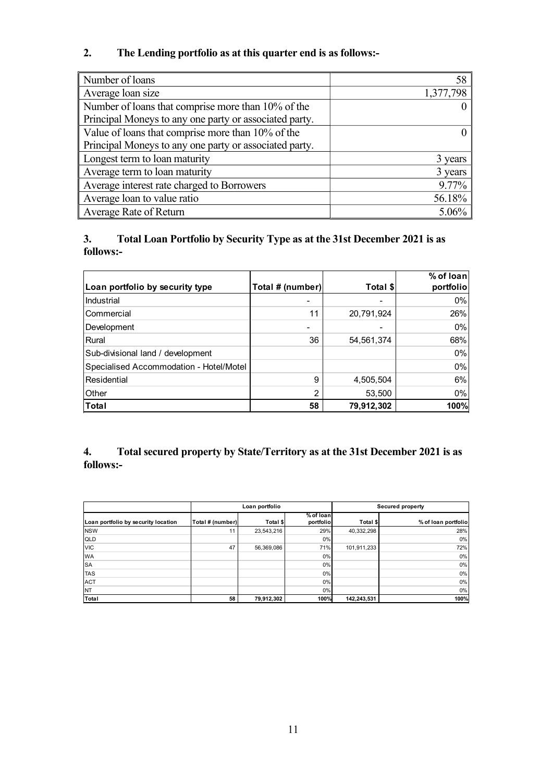# 2. The Lending portfolio as at this quarter end is as follows:-

| Number of loans                                                                                                                |                  |            | 58                     |
|--------------------------------------------------------------------------------------------------------------------------------|------------------|------------|------------------------|
| Average loan size                                                                                                              |                  |            | 1,377,798              |
| Number of loans that comprise more than 10% of the                                                                             |                  |            | $\boldsymbol{0}$       |
| Principal Moneys to any one party or associated party.                                                                         |                  |            |                        |
| Value of loans that comprise more than 10% of the                                                                              |                  |            | $\overline{0}$         |
| Principal Moneys to any one party or associated party.                                                                         |                  |            |                        |
| Longest term to loan maturity                                                                                                  |                  |            | 3 years                |
| Average term to loan maturity                                                                                                  |                  |            | 3 years                |
| Average interest rate charged to Borrowers                                                                                     |                  |            | 9.77%                  |
| Average loan to value ratio                                                                                                    |                  |            | 56.18%                 |
| Average Rate of Return                                                                                                         |                  |            | 5.06%                  |
|                                                                                                                                |                  |            |                        |
| 3.<br>Total Loan Portfolio by Security Type as at the 31st December 2021 is as<br>follows:-<br>Loan portfolio by security type | Total # (number) | Total \$   | % of loan<br>portfolio |
| Industrial                                                                                                                     |                  |            | $0\%$                  |
| Commercial                                                                                                                     | 11               | 20,791,924 | 26%                    |
| Development                                                                                                                    |                  |            | $0\%$                  |
| Rural                                                                                                                          | 36               | 54,561,374 | 68%                    |
| Sub-divisional land / development                                                                                              |                  |            | 0%                     |
| Specialised Accommodation - Hotel/Motel                                                                                        |                  | 4,505,504  | $0\%$                  |

## 3. Total Loan Portfolio by Security Type as at the 31st December 2021 is as follows:-

| Number of loans that comprise more than 10% of the                                          |                  |                  |                        |             | $\theta$                                                                     |
|---------------------------------------------------------------------------------------------|------------------|------------------|------------------------|-------------|------------------------------------------------------------------------------|
| Principal Moneys to any one party or associated party.                                      |                  |                  |                        |             |                                                                              |
| Value of loans that comprise more than 10% of the                                           |                  |                  |                        |             | $\theta$                                                                     |
| Principal Moneys to any one party or associated party.                                      |                  |                  |                        |             |                                                                              |
| Longest term to loan maturity                                                               |                  |                  |                        |             | 3 years                                                                      |
| Average term to loan maturity                                                               |                  |                  |                        |             | 3 years                                                                      |
| Average interest rate charged to Borrowers                                                  |                  |                  |                        |             | 9.77%                                                                        |
| Average loan to value ratio                                                                 |                  |                  |                        |             | 56.18%                                                                       |
| Average Rate of Return                                                                      |                  |                  |                        |             | 5.06%                                                                        |
| 3.<br>Total Loan Portfolio by Security Type as at the 31st December 2021 is as<br>follows:- |                  |                  |                        |             | % of loan                                                                    |
| Loan portfolio by security type                                                             |                  | Total # (number) |                        | Total \$    | portfolio                                                                    |
| Industrial                                                                                  |                  |                  |                        |             | $0\%$                                                                        |
| Commercial                                                                                  |                  |                  | 11                     | 20,791,924  | 26%                                                                          |
| Development                                                                                 |                  |                  |                        |             | 0%                                                                           |
| Rural                                                                                       |                  |                  | 36                     | 54,561,374  | 68%                                                                          |
| Sub-divisional land / development                                                           |                  |                  |                        |             | $0\%$                                                                        |
| Specialised Accommodation - Hotel/Motel                                                     |                  |                  |                        |             | 0%                                                                           |
| <b>Residential</b>                                                                          |                  |                  | 9                      | 4,505,504   | 6%                                                                           |
| Other                                                                                       |                  |                  | 2                      | 53,500      | $0\%$                                                                        |
| Total                                                                                       |                  |                  | 58                     | 79,912,302  | 100%                                                                         |
| 4.<br>follows:-                                                                             |                  |                  |                        |             | Total secured property by State/Territory as at the 31st December 2021 is as |
|                                                                                             |                  | Loan portfolio   |                        |             | Secured property                                                             |
| Loan portfolio by security location                                                         | Total # (number) | Total \$         | % of Ioan<br>portfolio | Total \$    | % of loan portfolio                                                          |
|                                                                                             | 11               | 23,543,216       | 29%                    | 40,332,298  | 28%                                                                          |
| <b>NSW</b>                                                                                  |                  |                  | 0%                     |             | 0%                                                                           |
| QLD                                                                                         |                  |                  |                        |             |                                                                              |
| <b>VIC</b><br>WA                                                                            | 47               | 56,369,086       | 71%<br>0%              | 101,911,233 | 72%<br>0%                                                                    |
| SA                                                                                          |                  |                  | 0%                     |             | 0%                                                                           |
| <b>TAS</b>                                                                                  |                  |                  | 0%                     |             | 0%                                                                           |
| <b>ACT</b><br><b>NT</b>                                                                     |                  |                  | 0%<br>0%               |             | 0%<br>0%                                                                     |

## 4. Total secured property by State/Territory as at the 31st December 2021 is as follows:-

| Commercial                                                                                      |                  |                | 11                     | 20,791,924  | 26%                     |
|-------------------------------------------------------------------------------------------------|------------------|----------------|------------------------|-------------|-------------------------|
| Development                                                                                     |                  |                | $\blacksquare$         |             | 0%                      |
| Rural                                                                                           |                  |                | 36                     | 54,561,374  | 68%                     |
| Sub-divisional land / development                                                               |                  |                |                        |             | 0%                      |
| Specialised Accommodation - Hotel/Motel                                                         |                  |                |                        |             | $0\%$                   |
| Residential                                                                                     |                  |                | 9                      | 4,505,504   | 6%                      |
|                                                                                                 |                  |                |                        |             |                         |
| Other                                                                                           |                  |                | 2                      | 53,500      | 0%                      |
| Total                                                                                           |                  |                | 58                     | 79,912,302  | 100%                    |
| Total secured property by State/Territory as at the 31st December 2021 is as<br>4.<br>follows:- |                  |                |                        |             |                         |
|                                                                                                 |                  |                |                        |             |                         |
|                                                                                                 |                  | Loan portfolio |                        |             | <b>Secured property</b> |
|                                                                                                 | Total # (number) | Total \$       | % of loan<br>portfolio | Total \$    | % of loan portfolio     |
| Loan portfolio by security location<br><b>NSW</b>                                               | 11               | 23,543,216     | 29%                    | 40,332,298  | 28%                     |
| QLD                                                                                             |                  |                | 0%                     |             | 0%                      |
| <b>VIC</b>                                                                                      | 47               | 56,369,086     | 71%                    | 101,911,233 | 72%                     |
| WA                                                                                              |                  |                | 0%                     |             | 0%                      |
| <b>SA</b>                                                                                       |                  |                | 0%                     |             | 0%                      |
| <b>TAS</b>                                                                                      |                  |                | 0%<br>0%               |             | 0%<br>0%                |
| <b>ACT</b><br>NT<br>Total                                                                       |                  | 79,912,302     | 0%<br>100%             | 142,243,531 | 0%<br>100%              |